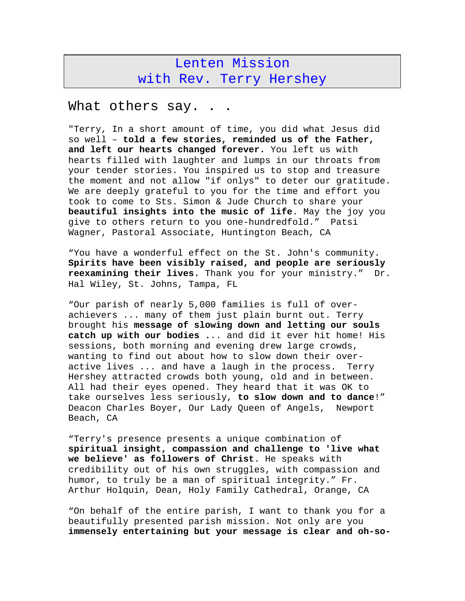## Lenten Mission with Rev. Terry Hershey

## What others say. . .

"Terry, In a short amount of time, you did what Jesus did so well – **told a few stories, reminded us of the Father, and left our hearts changed forever.** You left us with hearts filled with laughter and lumps in our throats from your tender stories. You inspired us to stop and treasure the moment and not allow "if onlys" to deter our gratitude. We are deeply grateful to you for the time and effort you took to come to Sts. Simon & Jude Church to share your **beautiful insights into the music of life**. May the joy you give to others return to you one-hundredfold." Patsi Wagner, Pastoral Associate, Huntington Beach, CA

"You have a wonderful effect on the St. John's community. **Spirits have been visibly raised, and people are seriously reexamining their lives.** Thank you for your ministry." Dr. Hal Wiley, St. Johns, Tampa, FL

"Our parish of nearly 5,000 families is full of overachievers ... many of them just plain burnt out. Terry brought his **message of slowing down and letting our souls catch up with our bodies .**.. and did it ever hit home! His sessions, both morning and evening drew large crowds, wanting to find out about how to slow down their overactive lives ... and have a laugh in the process. Terry Hershey attracted crowds both young, old and in between. All had their eyes opened. They heard that it was OK to take ourselves less seriously, **to slow down and to dance**!" Deacon Charles Boyer, Our Lady Queen of Angels, Newport Beach, CA

"Terry's presence presents a unique combination of **spiritual insight, compassion and challenge to 'live what we believe' as followers of Christ**. He speaks with credibility out of his own struggles, with compassion and humor, to truly be a man of spiritual integrity." Fr. Arthur Holquin, Dean, Holy Family Cathedral, Orange, CA

"On behalf of the entire parish, I want to thank you for a beautifully presented parish mission. Not only are you **immensely entertaining but your message is clear and oh-so-**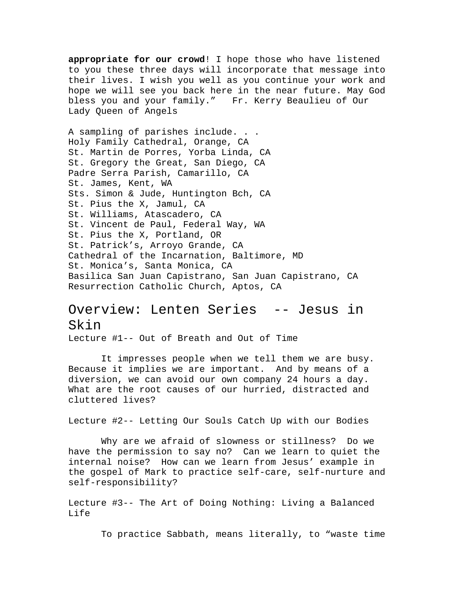**appropriate for our crowd**! I hope those who have listened to you these three days will incorporate that message into their lives. I wish you well as you continue your work and hope we will see you back here in the near future. May God bless you and your family." Fr. Kerry Beaulieu of Our Lady Queen of Angels

A sampling of parishes include. . . Holy Family Cathedral, Orange, CA St. Martin de Porres, Yorba Linda, CA St. Gregory the Great, San Diego, CA Padre Serra Parish, Camarillo, CA St. James, Kent, WA Sts. Simon & Jude, Huntington Bch, CA St. Pius the X, Jamul, CA St. Williams, Atascadero, CA St. Vincent de Paul, Federal Way, WA St. Pius the X, Portland, OR St. Patrick's, Arroyo Grande, CA Cathedral of the Incarnation, Baltimore, MD St. Monica's, Santa Monica, CA Basilica San Juan Capistrano, San Juan Capistrano, CA Resurrection Catholic Church, Aptos, CA

## Overview: Lenten Series -- Jesus in Skin

Lecture #1-- Out of Breath and Out of Time

 It impresses people when we tell them we are busy. Because it implies we are important. And by means of a diversion, we can avoid our own company 24 hours a day. What are the root causes of our hurried, distracted and cluttered lives?

Lecture #2-- Letting Our Souls Catch Up with our Bodies

 Why are we afraid of slowness or stillness? Do we have the permission to say no? Can we learn to quiet the internal noise? How can we learn from Jesus' example in the gospel of Mark to practice self-care, self-nurture and self-responsibility?

Lecture #3-- The Art of Doing Nothing: Living a Balanced Life

To practice Sabbath, means literally, to "waste time